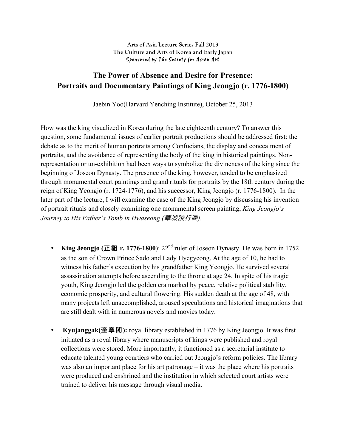## **Arts of Asia Lecture Series Fall 2013 The Culture and Arts of Korea and Early Japan** Sponsored by The Society for Asian Art

## **The Power of Absence and Desire for Presence: Portraits and Documentary Paintings of King Jeongjo (r. 1776-1800)**

Jaebin Yoo(Harvard Yenching Institute), October 25, 2013

How was the king visualized in Korea during the late eighteenth century? To answer this question, some fundamental issues of earlier portrait productions should be addressed first: the debate as to the merit of human portraits among Confucians, the display and concealment of portraits, and the avoidance of representing the body of the king in historical paintings. Nonrepresentation or un-exhibition had been ways to symbolize the divineness of the king since the beginning of Joseon Dynasty. The presence of the king, however, tended to be emphasized through monumental court paintings and grand rituals for portraits by the 18th century during the reign of King Yeongjo (r. 1724-1776), and his successor, King Jeongjo (r. 1776-1800). In the later part of the lecture, I will examine the case of the King Jeongjo by discussing his invention of portrait rituals and closely examining one monumental screen painting, *King Jeongjo's Journey to His Father's Tomb in Hwaseong (*華城陵行圖*).*

- **King Jeongjo (**正祖 **r. 1776-1800**): 22nd ruler of Joseon Dynasty. He was born in 1752 as the son of Crown Prince Sado and Lady Hyegyeong. At the age of 10, he had to witness his father's execution by his grandfather King Yeongjo. He survived several assassination attempts before ascending to the throne at age 24. In spite of his tragic youth, King Jeongjo led the golden era marked by peace, relative political stability, economic prosperity, and cultural flowering. His sudden death at the age of 48, with many projects left unaccomplished, aroused speculations and historical imaginations that are still dealt with in numerous novels and movies today.
- **Kyujanggak(**奎章閣**):** royal library established in 1776 by King Jeongjo. It was first initiated as a royal library where manuscripts of kings were published and royal collections were stored. More importantly, it functioned as a secretarial institute to educate talented young courtiers who carried out Jeongjo's reform policies. The library was also an important place for his art patronage – it was the place where his portraits were produced and enshrined and the institution in which selected court artists were trained to deliver his message through visual media.